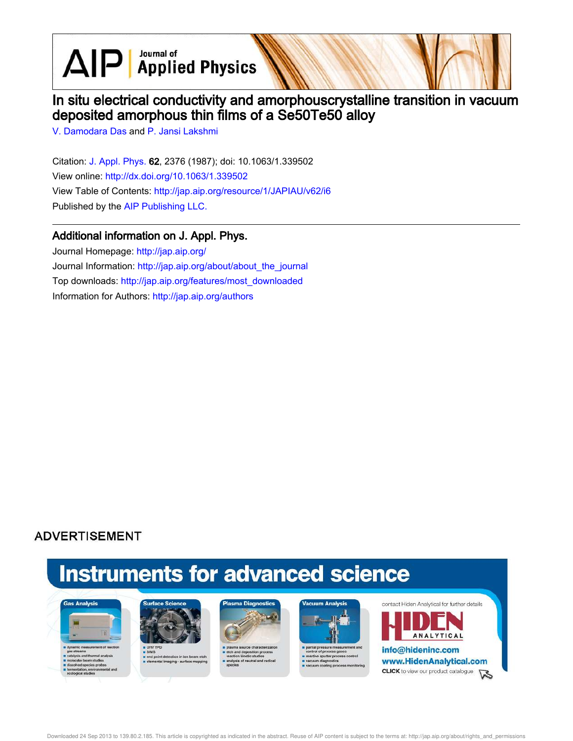$\text{AlP}$  Applied Physics

## In situ electrical conductivity and amorphouscrystalline transition in vacuum deposited amorphous thin films of a Se50Te50 alloy

V. Damodara Das and P. Jansi Lakshmi

Citation: J. Appl. Phys. 62, 2376 (1987); doi: 10.1063/1.339502 View online: http://dx.doi.org/10.1063/1.339502 View Table of Contents: http://jap.aip.org/resource/1/JAPIAU/v62/i6 Published by the AIP Publishing LLC.

## Additional information on J. Appl. Phys.

Journal Homepage: http://jap.aip.org/ Journal Information: http://jap.aip.org/about/about\_the\_journal Top downloads: http://jap.aip.org/features/most\_downloaded Information for Authors: http://jap.aip.org/authors

## **ADVERTISEMENT**

# **Instruments for advanced science**





s end point detection in ion bear<br>selemental imaging - surface m





re sputter pri cess control



**ANALYTICAL** info@hideninc.com www.HidenAnalytical.com **CLICK** to view our product catalogue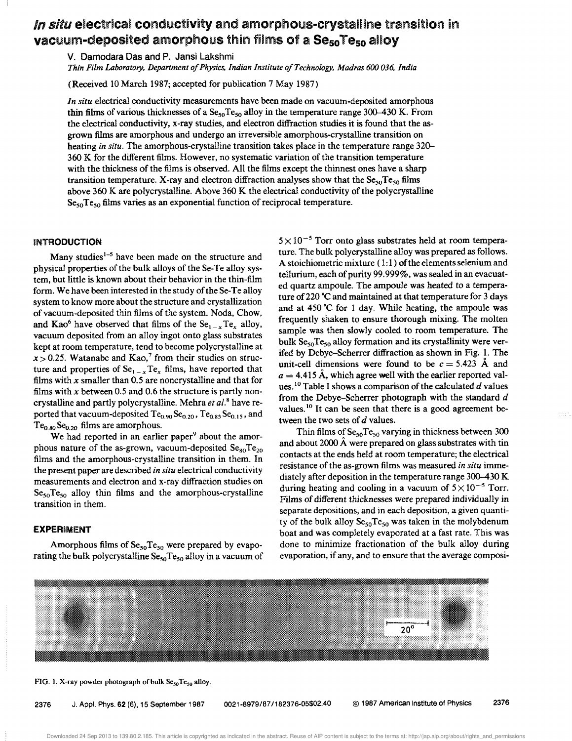## In situ electrical conductivity and amorphous-crystalline transition in vacuum-deposited amorphous thin films of a Se<sub>so</sub>Te<sub>so</sub> alloy

v. Damodara Das and P. Jansi Lakshmi

*Thin Film Laboratory, Department 0/ Physics, Indian Institute o/Technology, Madras* 600 *036, India* 

(Received 10 March 1987; accepted for publication 7 May 1987)

*In situ* electrical conductivity measurements have been made on vacuum-deposited amorphous thin films of various thicknesses of a  $\text{Se}_{50}Te_{50}$  alloy in the temperature range 300-430 K. From the electrical conductivity, x-ray studies, and electron diffraction studies it is found that the asgrown films are amorphous and undergo an irreversible amorphous-crystalline transition on heating *in situ*. The amorphous-crystalline transition takes place in the temperature range 320–  $360$  K for the different films. However, no systematic variation of the transition temperature with the thickness of the films is observed. All the films except the thinnest ones have a sharp transition temperature. X-ray and electron diffraction analyses show that the Se<sub>50</sub> Te<sub>50</sub> films above 360 K are polycrystalline. Above 360 K the electrical conductivity of the polycrystalline  $Se_{50}Te_{50}$  films varies as an exponential function of reciprocal temperature.

### INTRODUCTION

Many studies<sup>1-5</sup> have been made on the structure and physical properties of the bulk alloys of the Se-Te alloy system, but little is known about their behavior in the thin-film form. We have been interested in the study of the Se-Te alloy system to know more about the structure and crystallization of vacuum-deposited thin films of the system. Noda, Chow and Kao<sup>6</sup> have observed that films of the  $\text{Se}_{1-x}\text{Te}_x$  alloy, vacuum deposited from an alloy ingot onto glass substrates kept at room temperature, tend to become polycrystalline at  $x > 0.25$ . Watanabe and Kao,<sup>7</sup> from their studies on structure and properties of  $Se_{1-x}Te_x$  films, have reported that films with  $x$  smaller than 0.5 are noncrystalline and that for films with x between 0.5 and 0.6 the structure is partly noncrystalline and partly polycrystalline. Mehra *et al.*<sup>8</sup> have reported that vacuum-deposited  $Te_{0.90}Se_{0.20}$ ,  $Te_{0.85}Se_{0.15}$ , and  $Te_{0.80}Se_{0.20}$  films are amorphous.

We had reported in an earlier paper<sup>9</sup> about the amorphous nature of the as-grown, vacuum-deposited  $Se_{80}Te_{20}$ films and the amorphous-crystalline transition in them. In the present paper are described *in situ* electrical conductivity measurements and electron and x-ray diffraction studies on  $Se<sub>50</sub>Te<sub>50</sub>$  alloy thin films and the amorphous-crystalline transition in them.

### **EXPERIMENT**

Amorphous films of  $Se_{50}Te_{50}$  were prepared by evaporating the bulk polycrystalline  $Se_{50}Te_{50}$  alloy in a vacuum of  $5 \times 10^{-5}$  Torr onto glass substrates held at room temperature. The bulk polycrystalline alloy was prepared as follows. A stoichiometric mixture  $(1:1)$  of the elements selenium and tellurium, each of purity 99.999%, was sealed in an evacuated quartz ampoule. The ampoule was heated to a temperature of 220 °C and maintained at that temperature for 3 days and at 450·C for 1 day. While heating, the ampoule was frequently shaken to ensure thorough mixing. The molten sample was then slowly cooled to room temperature. The bulk  $Se_{50}Te_{50}$  alloy formation and its crystallinity were verifed by Debye-Scherrer diffraction as shown in Fig. 1. The unit-cell dimensions were found to be  $c = 5.423$  Å and  $a = 4.415$  Å, which agree well with the earlier reported values.1O Table I shows a comparison of the calculated *d* values from the Debye-Scherrer photograph with the standard *d*  values.<sup>10</sup> It can be seen that there is a good agreement between the two sets of *d* values.

Thin films of  $Se_{50}Te_{50}$  varying in thickness between 300 and about 2000 A were prepared on glass substrates with tin contacts at the ends held at room temperature; the electrical resistance of the as-grown films was measured *in situ* immediately after deposition in the temperature range 300-430 K during heating and cooling in a vacuum of  $5 \times 10^{-5}$  Torr. Films of different thicknesses were prepared individually in separate depositions, and in each deposition, a given quantity of the bulk alloy  $Se_{50}Te_{50}$  was taken in the molybdenum boat and was completely evaporated at a fast rate. This was done to minimize fractionation of the bulk alloy during evaporation, if any, and to ensure that the average composi-



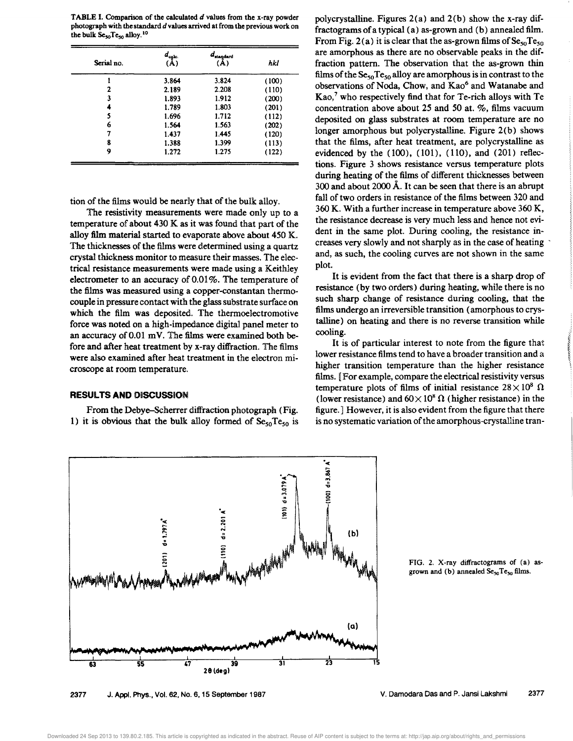**TABLE I. Comparison of the calculated**  $d$  **values from the x-ray powder** photograph with the standard *d* values arrived at from the previous work on the bulk  $Se_{50}Te_{50}$  alloy.<sup>10</sup>

| Serial no. | $d_{\rm{cabc.}}$<br>(A) | $d_{\texttt{standard}}$<br>A) | hkl   |
|------------|-------------------------|-------------------------------|-------|
|            | 3.864                   | 3.824                         | (100) |
| 2          | 2.189                   | 2.208                         | (110) |
| 3          | 1.893                   | 1.912                         | (200) |
|            | 1.789                   | 1.803                         | (201) |
| 5          | 1.696                   | 1.712                         | (112) |
| 6          | 1.564                   | 1.563                         | (202) |
| 7          | 1.437                   | 1.445                         | (120) |
| 8          | 1.388                   | 1.399                         | (113) |
| 9          | 1.272                   | 1.275                         | (122) |

tion of the films would be nearly that of the bulk alloy.

The resistivity measurements were made only up to a temperature of about 430 K as it was found that part of the alloy film material started to evaporate above about 450 K. The thicknesses of the films were determined using a quartz crystal thickness monitor to measure their masses. The electrical resistance measurements were made using a Keithley electrometer to an accuracy of 0.01%. The temperature of the films was measured using a copper-constantan thermocouple in pressure contact with the glass substrate surface on which the film was deposited. The thermoelectromotive force was noted on a high-impedance digital panel meter to an accuracy of 0.01 mY. The films were examined both before and after heat treatment by x-ray diffraction. The films were also examined after heat treatment in the electron microscope at room temperature.

#### **RESULTS AND** OISCUSSION

From the Debye-Scherrer diffraction photograph (Fig. 1) it is obvious that the bulk alloy formed of  $Se<sub>50</sub>Te<sub>50</sub>$  is

polycrystalline. Figures 2(a) and 2(b) show the x-ray diffractograms ofa typical (a) as-grown and (b) annealed film. From Fig. 2(a) it is clear that the as-grown films of  $Se_{50}Te_{50}$ are amorphous as there are no observable peaks in the diffraction pattern. The observation that the as-grown thin films of the  $\text{Se}_{50} \text{Te}_{50}$  alloy are amorphous is in contrast to the observations of Noda, Chow, and Kao<sup>6</sup> and Watanabe and Kao/ who respectively find that for Te-rich alloys with Te concentration above about 25 and 50 at. %, films vacuum deposited on glass substrates at room temperature are no longer amorphous but polycrystalline. Figure 2(b) shows that the films, after heat treatment, are polycrystalline as evidenced by the (100), (101), (110), and (201) reflections. Figure 3 shows resistance versus temperature plots during heating of the films of different thicknesses between 300 and about 2000 A. It can be seen that there is an abrupt fall of two orders in resistance of the films between 320 and 360 K. With a further increase in temperature above 360 K, the resistance decrease is very much less and hence not evident in the same plot. During cooling, the resistance increases very slowly and not sharply as in the case of heating . and, as such, the cooling curves are not shown in the same plot.

It is evident from the fact that there is a sharp drop of resistance (by two orders) during heating, while there is no such sharp change of resistance during cooling, that the films undergo an irreversible transition (amorphous to crystalline) on heating and there is no reverse transition while cooling.

It is of particular interest to note from the figure that lower resistance films tend to have a broader transition and a higher transition temperature than the higher resistance films. [For example, compare the electrical resistivity versus temperature plots of films of initial resistance  $28 \times 10^8$   $\Omega$ (lower resistance) and  $60 \times 10^8$   $\Omega$  (higher resistance) in the figure.] However, it is also evident from the figure that there is no systematic variation of the amorphous-crystalline tran-



FIG. 2. X-ray diffractograms of (a) asgrown and (b) annealed  $Se_{50}Te_{50}$  films.

2377 J. Appl. Phys., Vol. 62, No.6, 15 September 1987

V. Damodara Das and P. Jansi Lakshmi 2377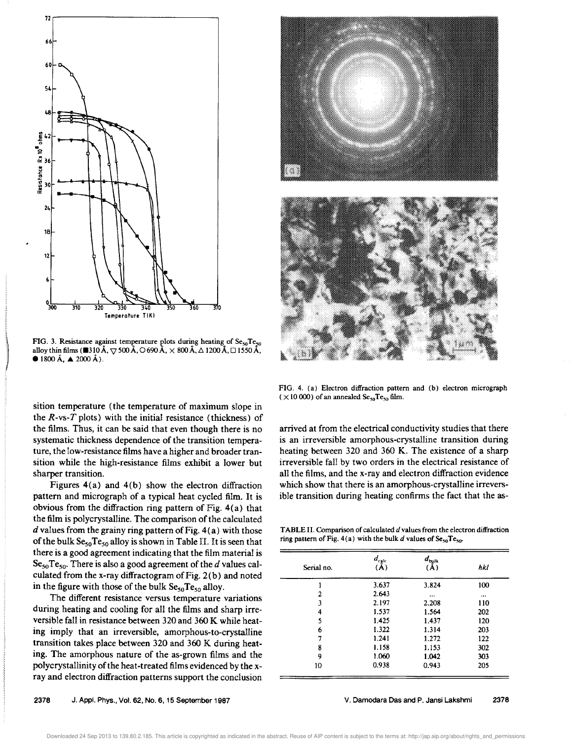

FIG. 3. Resistance against temperature plots during heating of  $\rm Se_{50}Te_{50}$ alloy thin films ( $\blacksquare$ 310 Å,  $\nabla$  500 Å,  $\bigcirc$  690 Å,  $\times$  800 Å,  $\bigtriangleup$  1200 Å,  $\square$  1550 Å,  $\bullet$  1800 Å,  $\blacktriangle$  2000 Å).

sition temperature (the temperature of maximum slope in the  $R$ -vs- $T$  plots) with the initial resistance (thickness) of the films. Thus, it can be said that even though there is no systematic thickness dependence of the transition temperature, the low-resistance films have a higher and broader transition while the high-resistance films exhibit a lower but sharper transition.

Figures  $4(a)$  and  $4(b)$  show the electron diffraction pattern and micrograph of a typical heat cycled film. It is obvious from the diffraction ring pattern of Fig. 4(a) that the film is polycrystalline. The comparison of the calculated  $d$  values from the grainy ring pattern of Fig.  $4(a)$  with those of the bulk  $Se_{50}Te_{50}$  alloy is shown in Table II. It is seen that there is a good agreement indicating that the film material is  $Se_{50}Te_{50}$ . There is also a good agreement of the d values calculated from the x-ray diffractogram of Fig. 2(b) and noted in the figure with those of the bulk  $Se_{50}Te_{50}$  alloy.

The different resistance versus temperature variations during heating and cooling for all the films and sharp irreversible fall in resistance between 320 and 360 K while heating imply that an irreversible, amorphous-to-crystaUine transition takes place between 320 and 360 K during heating. The amorphous nature of the as-grown films and the polycrystallinity of the heat-treated films evidenced by the xray and electron diffraction patterns support the conclusion





FIG. 4. (a) Electron diffraction pattern and (b) electron micrograph ( $\times$ 10 000) of an annealed Se<sub>50</sub>Te<sub>50</sub> film.

arrived at from the electrical conductivity studies that there is an irreversible amorphous-crystalline transition during heating between 320 and 360 K. The existence of a sharp irreversible fall by two orders in the electrical resistance of all the films, and the x-ray and electron diffraction evidence which show that there is an amorphous-crystalline irreversible transition during heating confirms the fact that the as-

TABLE II. Comparison of calculated *d* values from the electron diffraction ring pattern of Fig. 4(a) with the bulk d values of  $Se_{50}Te_{50}$ .

| Serial no. | $d_{\rm calc}$<br>(A) | $d_{\rm bulk}$<br>(A) | hkl      |
|------------|-----------------------|-----------------------|----------|
|            | 3.637                 | 3.824                 | 100      |
| 2          | 2.643                 | $\cdots$              | $\cdots$ |
| 3          | 2.197                 | 2.208                 | 110      |
| 4          | 1.537                 | 1.564                 | 202      |
| 5          | 1.425                 | 1.437                 | 120      |
| 6          | 1.322                 | 1.314                 | 203      |
| 7          | 1.241                 | 1.272                 | 122      |
| 8          | 1.158                 | 1.153                 | 302      |
| 9          | 1.060                 | 1.042                 | 303      |
| 10         | 0.938                 | 0.943                 | 205      |

Downloaded 24 Sep 2013 to 139.80.2.185. This article is copyrighted as indicated in the abstract. Reuse of AIP content is subject to the terms at: http://jap.aip.org/about/rights\_and\_permissions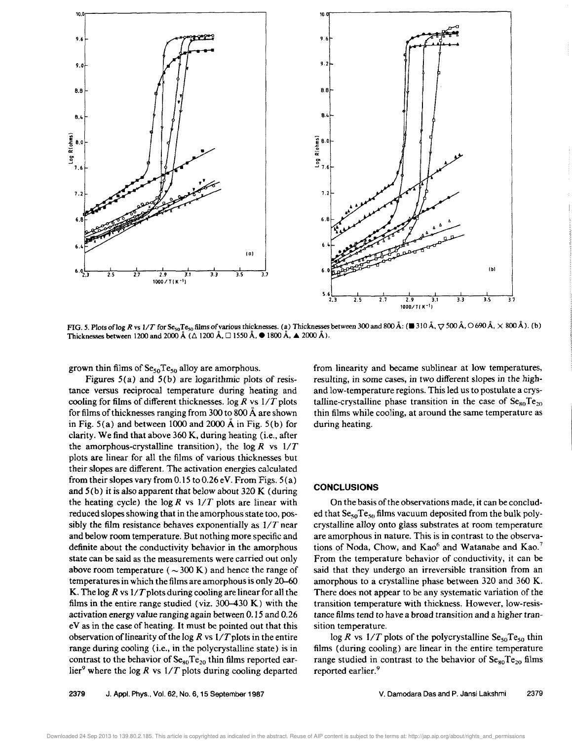

FIG. 5. Plots of log R vs 1/T for Se<sub>50</sub>Te<sub>50</sub> films of various thicknesses. (a) Thicknesses between 300 and 800 Å: ( $\blacksquare$  310 Å,  $\bigtriangledown$  500 Å,  $\bigcirc$  690 Å,  $\times$  800 Å). (b) Thicknesses between 1200 and 2000 Å ( $\triangle$  1200 Å,  $\square$  1550 Å,  $\bullet$  1800 Å,  $\spadesuit$  2000 Å).

grown thin films of  $\text{Se}_{50}Te_{50}$  alloy are amorphous.

Figures  $5(a)$  and  $5(b)$  are logarithmic plots of resistance versus reciprocal temperature during heating and cooling for films of different thicknesses.  $log R$  vs  $1/T$  plots for films of thicknesses ranging from 300 to 800 Å are shown in Fig.  $5(a)$  and between 1000 and 2000 Å in Fig.  $5(b)$  for clarity. We find that above 360 K, during heating (i.e., after the amorphous-crystalline transition), the log R vs  $1/T$ plots are linear for all the films of various thicknesses but their slopes are different. The activation energies calculated from their slopes vary from 0.15 to 0.26 eV. From Figs.  $5(a)$ and  $5(b)$  it is also apparent that below about 320 K (during the heating cycle) the  $\log R$  vs  $1/T$  plots are linear with reduced slopes showing that in the amorphous state too, possibly the film resistance behaves exponentially as  $1/T$  near and below room temperature. But nothing more specific and definite about the conductivity behavior in the amorphous state can be said as the measurements were carried out only above room temperature ( $\sim$ 300 K) and hence the range of temperatures in which the films are amorphous is only 20–60 K. The log R vs  $1/T$  plots during cooling are linear for all the films in the entire range studied (viz. 300-430 K) with the activation energy value ranging again between 0.15 and 0.26 eV as in the case of heating. It must be pointed out that this observation of linearity of the log R vs  $1/T$  plots in the entire range during cooling (i.e., in the polycrystalline state) is in contrast to the behavior of  $\text{Se}_{80}Te_{20}$  thin films reported earlier<sup>9</sup> where the log R vs  $1/T$  plots during cooling departed

from linearity and became sublinear at low temperatures, resulting, in some cases, in two different slopes in the highand low-temperature regions. This led us to postulate a crystalline-crystalline phase transition in the case of  $\text{Se}_{80}\text{Te}_{20}$ thin films while cooling, at around the same temperature as during heating.

#### **CONCLUSIONS**

On the basis of the observations made, it can be concluded that  $\text{Se}_{50}Te_{50}$  films vacuum deposited from the bulk polycrystalline alloy onto glass substrates at room temperature are amorphous in nature. This is in contrast to the observations of Noda, Chow, and Kao<sup>6</sup> and Watanabe and Kao.<sup>7</sup> From the temperature behavior of conductivity, it can be said that they undergo an irreversible transition from an amorphous to a crystalline phase between 320 and 360 K. There does not appear to be any systematic variation of the transition temperature with thickness. However, low-resistance films tend to have a broad transition and a higher transition temperature.

 $\log R$  vs  $1/T$  plots of the polycrystalline Se<sub>50</sub>Te<sub>50</sub> thin films (during cooling) are linear in the entire temperature range studied in contrast to the behavior of  $Se_{80}Te_{20}$  films reported earlier.<sup>9</sup>